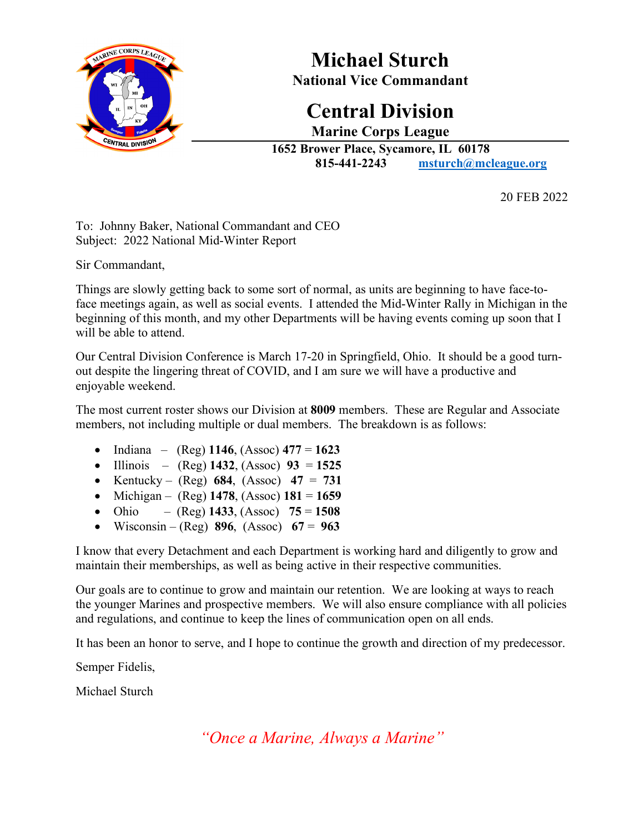

 **Michael Sturch National Vice Commandant**

### **Central Division Marine Corps League**

**1652 Brower Place, Sycamore, IL 60178 815-441-2243 [msturch@mcleague.org](mailto:msturch@mcleague.org)**

20 FEB 2022

To: Johnny Baker, National Commandant and CEO Subject: 2022 National Mid-Winter Report

Sir Commandant,

Things are slowly getting back to some sort of normal, as units are beginning to have face-toface meetings again, as well as social events. I attended the Mid-Winter Rally in Michigan in the beginning of this month, and my other Departments will be having events coming up soon that I will be able to attend.

Our Central Division Conference is March 17-20 in Springfield, Ohio. It should be a good turnout despite the lingering threat of COVID, and I am sure we will have a productive and enjoyable weekend.

The most current roster shows our Division at **8009** members. These are Regular and Associate members, not including multiple or dual members. The breakdown is as follows:

- Indiana (Reg) **1146**, (Assoc) **477** = **1623**
- Illinois (Reg) **1432**, (Assoc) **93** = **1525**
- Kentucky  $(Reg)$  684,  $(Assoc)$  47 = 731
- Michigan (Reg) **1478**, (Assoc) **181** = **1659**
- Ohio (Reg)  $1433$ , (Assoc)  $75 = 1508$
- Wisconsin (Reg) **896**, (Assoc) **67** = **963**

I know that every Detachment and each Department is working hard and diligently to grow and maintain their memberships, as well as being active in their respective communities.

Our goals are to continue to grow and maintain our retention. We are looking at ways to reach the younger Marines and prospective members. We will also ensure compliance with all policies and regulations, and continue to keep the lines of communication open on all ends.

It has been an honor to serve, and I hope to continue the growth and direction of my predecessor.

Semper Fidelis,

Michael Sturch

*"Once a Marine, Always a Marine"*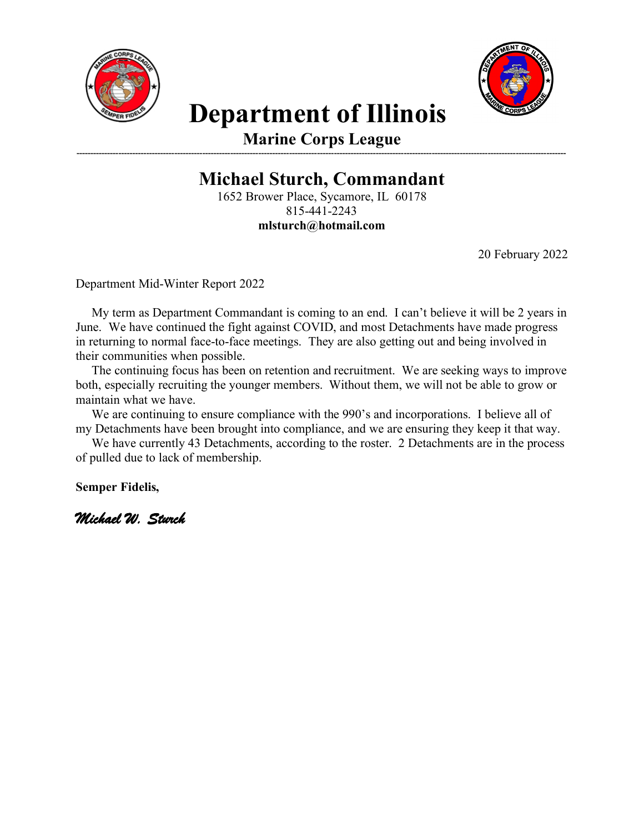



# **Department of Illinois**

**Marine Corps League -------------------------------------------------------------------------------------------------------------------------------------------------------------------------------**

**Michael Sturch, Commandant**

1652 Brower Place, Sycamore, IL 60178 815-441-2243 **mlsturch@hotmail.com**

20 February 2022

Department Mid-Winter Report 2022

 My term as Department Commandant is coming to an end. I can't believe it will be 2 years in June. We have continued the fight against COVID, and most Detachments have made progress in returning to normal face-to-face meetings. They are also getting out and being involved in their communities when possible.

 The continuing focus has been on retention and recruitment. We are seeking ways to improve both, especially recruiting the younger members. Without them, we will not be able to grow or maintain what we have.

 We are continuing to ensure compliance with the 990's and incorporations. I believe all of my Detachments have been brought into compliance, and we are ensuring they keep it that way.

 We have currently 43 Detachments, according to the roster. 2 Detachments are in the process of pulled due to lack of membership.

**Semper Fidelis,**

*Michael W. Sturch*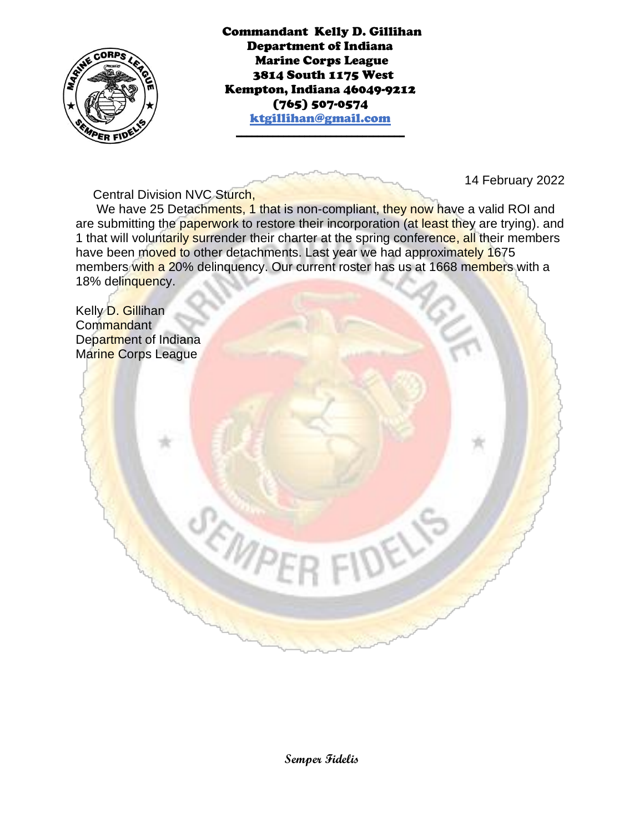

Commandant Kelly D. Gillihan Department of Indiana Marine Corps League 3814 South 1175 West Kempton, Indiana 46049-9212 (765) 507-0574 ktgillihan@gmail.com

\_\_\_\_\_\_\_\_\_\_\_\_\_\_\_\_\_\_\_\_\_\_\_\_\_\_\_\_\_\_\_\_

14 February 2022

Central Division NVC Sturch,

We have 25 Detachments, 1 that is non-compliant, they now have a valid ROI and are submitting the paperwork to restore their incorporation (at least they are trying). and 1 that will voluntarily surrender their charter at the spring conference, all their members have been moved to other detachments. Last year we had approximately 1675 members with a 20% delinquency. Our current roster has us at 1668 members with a 18% delinquency.

Kelly D. Gillihan Commandant Department of Indiana Marine Corps League

**Semper Fidelis**

**DELIS** 

SEMPE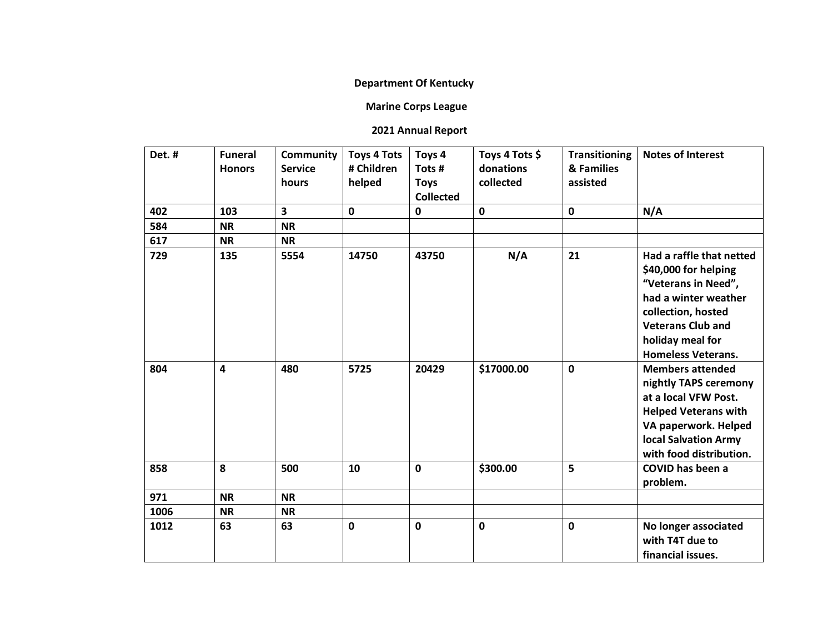#### **Department Of Kentucky**

#### **Marine Corps League**

#### **2021 Annual Report**

| Det. # | <b>Funeral</b><br><b>Honors</b> | <b>Community</b><br><b>Service</b><br>hours | <b>Toys 4 Tots</b><br># Children<br>helped | Toys 4<br>Tots #<br><b>Toys</b><br><b>Collected</b> | Toys 4 Tots \$<br>donations<br>collected | <b>Transitioning</b><br>& Families<br>assisted | <b>Notes of Interest</b>                                                                                                                                                                           |
|--------|---------------------------------|---------------------------------------------|--------------------------------------------|-----------------------------------------------------|------------------------------------------|------------------------------------------------|----------------------------------------------------------------------------------------------------------------------------------------------------------------------------------------------------|
| 402    | 103                             | $\overline{\mathbf{3}}$                     | 0                                          | $\mathbf 0$                                         | $\mathbf 0$                              | $\mathbf 0$                                    | N/A                                                                                                                                                                                                |
| 584    | <b>NR</b>                       | <b>NR</b>                                   |                                            |                                                     |                                          |                                                |                                                                                                                                                                                                    |
| 617    | <b>NR</b>                       | <b>NR</b>                                   |                                            |                                                     |                                          |                                                |                                                                                                                                                                                                    |
| 729    | 135                             | 5554                                        | 14750                                      | 43750                                               | N/A                                      | 21                                             | Had a raffle that netted<br>\$40,000 for helping<br>"Veterans in Need",<br>had a winter weather<br>collection, hosted<br><b>Veterans Club and</b><br>holiday meal for<br><b>Homeless Veterans.</b> |
| 804    | $\overline{\mathbf{4}}$         | 480                                         | 5725                                       | 20429                                               | \$17000.00                               | $\mathbf 0$                                    | <b>Members attended</b><br>nightly TAPS ceremony<br>at a local VFW Post.<br><b>Helped Veterans with</b><br>VA paperwork. Helped<br><b>local Salvation Army</b><br>with food distribution.          |
| 858    | 8                               | 500                                         | 10                                         | $\mathbf 0$                                         | \$300.00                                 | 5                                              | <b>COVID has been a</b><br>problem.                                                                                                                                                                |
| 971    | <b>NR</b>                       | <b>NR</b>                                   |                                            |                                                     |                                          |                                                |                                                                                                                                                                                                    |
| 1006   | <b>NR</b>                       | <b>NR</b>                                   |                                            |                                                     |                                          |                                                |                                                                                                                                                                                                    |
| 1012   | 63                              | 63                                          | 0                                          | $\mathbf 0$                                         | $\mathbf 0$                              | $\mathbf 0$                                    | No longer associated<br>with T4T due to<br>financial issues.                                                                                                                                       |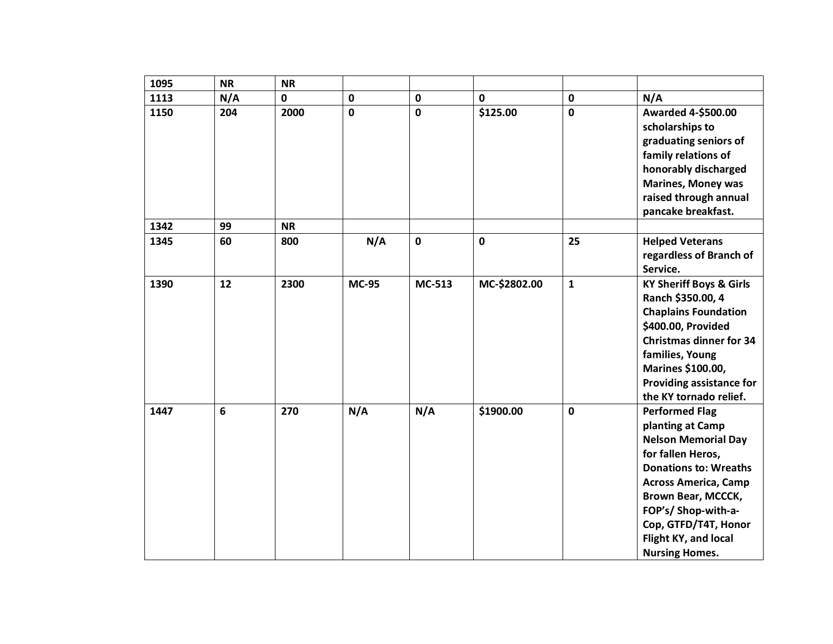| 1095 | <b>NR</b> | <b>NR</b>   |              |               |              |              |                                                                                                                                                                                                                                                                                   |
|------|-----------|-------------|--------------|---------------|--------------|--------------|-----------------------------------------------------------------------------------------------------------------------------------------------------------------------------------------------------------------------------------------------------------------------------------|
| 1113 | N/A       | $\mathbf 0$ | $\mathbf 0$  | $\mathbf 0$   | 0            | $\mathbf 0$  | N/A                                                                                                                                                                                                                                                                               |
| 1150 | 204       | 2000        | $\mathbf 0$  | $\mathbf 0$   | \$125.00     | $\mathbf 0$  | <b>Awarded 4-\$500.00</b><br>scholarships to<br>graduating seniors of<br>family relations of<br>honorably discharged<br><b>Marines, Money was</b><br>raised through annual<br>pancake breakfast.                                                                                  |
| 1342 | 99        | <b>NR</b>   |              |               |              |              |                                                                                                                                                                                                                                                                                   |
| 1345 | 60        | 800         | N/A          | $\mathbf 0$   | 0            | 25           | <b>Helped Veterans</b><br>regardless of Branch of<br>Service.                                                                                                                                                                                                                     |
| 1390 | 12        | 2300        | <b>MC-95</b> | <b>MC-513</b> | MC-\$2802.00 | $\mathbf{1}$ | <b>KY Sheriff Boys &amp; Girls</b><br>Ranch \$350.00, 4<br><b>Chaplains Foundation</b><br>\$400.00, Provided<br><b>Christmas dinner for 34</b><br>families, Young<br>Marines \$100.00,<br><b>Providing assistance for</b><br>the KY tornado relief.                               |
| 1447 | 6         | 270         | N/A          | N/A           | \$1900.00    | $\mathbf 0$  | <b>Performed Flag</b><br>planting at Camp<br><b>Nelson Memorial Day</b><br>for fallen Heros,<br><b>Donations to: Wreaths</b><br><b>Across America, Camp</b><br>Brown Bear, MCCCK,<br>FOP's/ Shop-with-a-<br>Cop, GTFD/T4T, Honor<br>Flight KY, and local<br><b>Nursing Homes.</b> |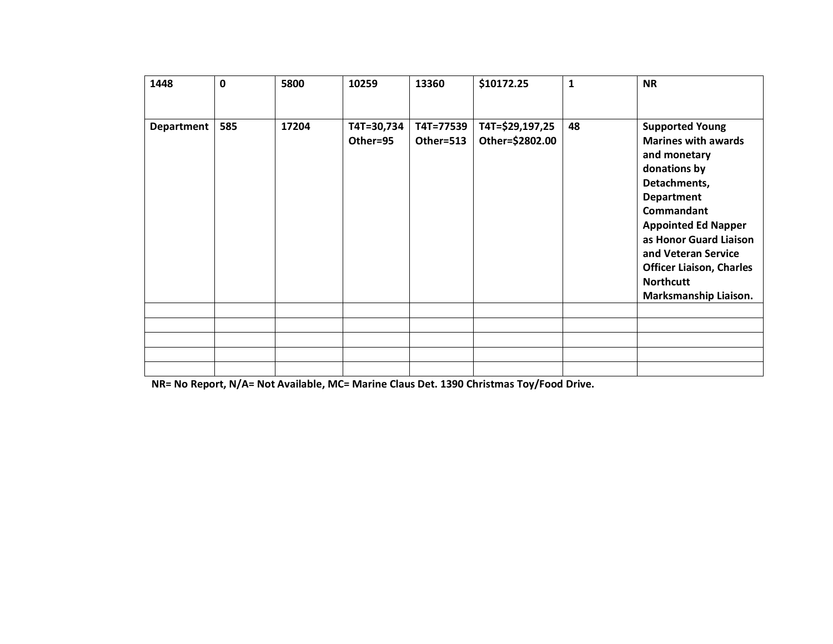| 1448              | 0   | 5800  | 10259                  | 13360                  | \$10172.25                         | $\mathbf{1}$ | <b>NR</b>                                                                                                                                                                                                                                                                                                     |
|-------------------|-----|-------|------------------------|------------------------|------------------------------------|--------------|---------------------------------------------------------------------------------------------------------------------------------------------------------------------------------------------------------------------------------------------------------------------------------------------------------------|
| <b>Department</b> | 585 | 17204 | T4T=30,734<br>Other=95 | T4T=77539<br>Other=513 | T4T=\$29,197,25<br>Other=\$2802.00 | 48           | <b>Supported Young</b><br><b>Marines with awards</b><br>and monetary<br>donations by<br>Detachments,<br><b>Department</b><br><b>Commandant</b><br><b>Appointed Ed Napper</b><br>as Honor Guard Liaison<br>and Veteran Service<br><b>Officer Liaison, Charles</b><br><b>Northcutt</b><br>Marksmanship Liaison. |
|                   |     |       |                        |                        |                                    |              |                                                                                                                                                                                                                                                                                                               |
|                   |     |       |                        |                        |                                    |              |                                                                                                                                                                                                                                                                                                               |
|                   |     |       |                        |                        |                                    |              |                                                                                                                                                                                                                                                                                                               |
|                   |     |       |                        |                        |                                    |              |                                                                                                                                                                                                                                                                                                               |

**NR= No Report, N/A= Not Available, MC= Marine Claus Det. 1390 Christmas Toy/Food Drive.**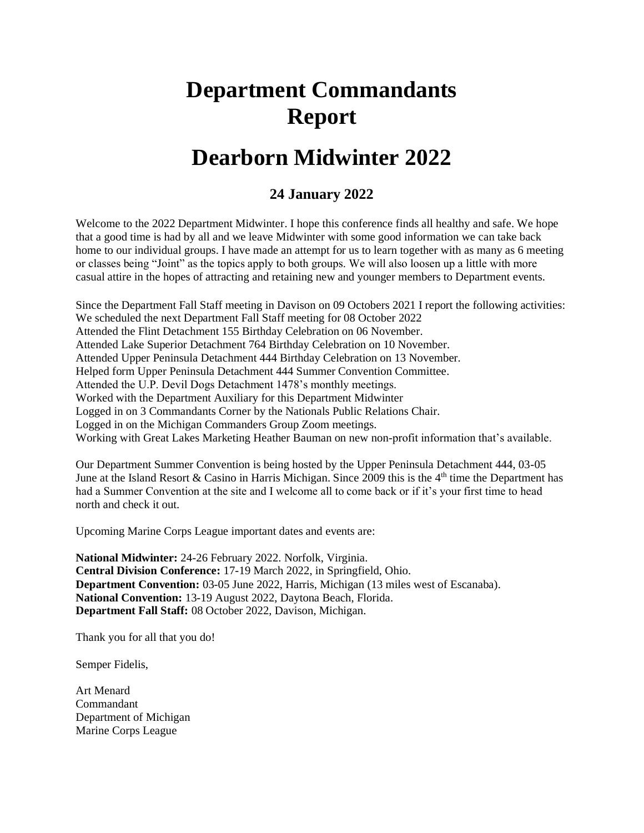## **Department Commandants Report**

### **Dearborn Midwinter 2022**

#### **24 January 2022**

Welcome to the 2022 Department Midwinter. I hope this conference finds all healthy and safe. We hope that a good time is had by all and we leave Midwinter with some good information we can take back home to our individual groups. I have made an attempt for us to learn together with as many as 6 meeting or classes being "Joint" as the topics apply to both groups. We will also loosen up a little with more casual attire in the hopes of attracting and retaining new and younger members to Department events.

Since the Department Fall Staff meeting in Davison on 09 Octobers 2021 I report the following activities: We scheduled the next Department Fall Staff meeting for 08 October 2022 Attended the Flint Detachment 155 Birthday Celebration on 06 November. Attended Lake Superior Detachment 764 Birthday Celebration on 10 November. Attended Upper Peninsula Detachment 444 Birthday Celebration on 13 November. Helped form Upper Peninsula Detachment 444 Summer Convention Committee. Attended the U.P. Devil Dogs Detachment 1478's monthly meetings. Worked with the Department Auxiliary for this Department Midwinter Logged in on 3 Commandants Corner by the Nationals Public Relations Chair. Logged in on the Michigan Commanders Group Zoom meetings. Working with Great Lakes Marketing Heather Bauman on new non-profit information that's available.

Our Department Summer Convention is being hosted by the Upper Peninsula Detachment 444, 03-05 June at the Island Resort & Casino in Harris Michigan. Since 2009 this is the  $4<sup>th</sup>$  time the Department has had a Summer Convention at the site and I welcome all to come back or if it's your first time to head north and check it out.

Upcoming Marine Corps League important dates and events are:

**National Midwinter:** 24-26 February 2022. Norfolk, Virginia. **Central Division Conference:** 17-19 March 2022, in Springfield, Ohio. **Department Convention:** 03-05 June 2022, Harris, Michigan (13 miles west of Escanaba). **National Convention:** 13-19 August 2022, Daytona Beach, Florida. **Department Fall Staff:** 08 October 2022, Davison, Michigan.

Thank you for all that you do!

Semper Fidelis,

Art Menard Commandant Department of Michigan Marine Corps League